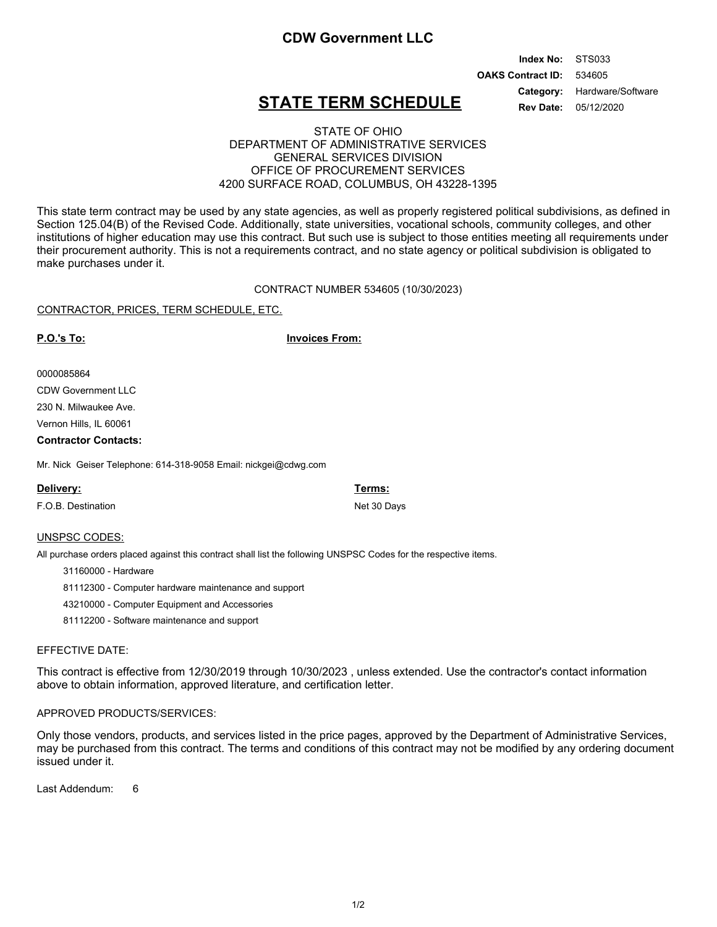### **CDW Government LLC**

#### 534605 STS033 **OAKS Contract ID: Index No:** 05/12/2020 Category: Hardware/Software **Rev Date:**

## **STATE TERM SCHEDULE**

### STATE OF OHIO DEPARTMENT OF ADMINISTRATIVE SERVICES GENERAL SERVICES DIVISION OFFICE OF PROCUREMENT SERVICES 4200 SURFACE ROAD, COLUMBUS, OH 43228-1395

This state term contract may be used by any state agencies, as well as properly registered political subdivisions, as defined in Section 125.04(B) of the Revised Code. Additionally, state universities, vocational schools, community colleges, and other institutions of higher education may use this contract. But such use is subject to those entities meeting all requirements under their procurement authority. This is not a requirements contract, and no state agency or political subdivision is obligated to make purchases under it.

CONTRACT NUMBER 534605 (10/30/2023)

#### CONTRACTOR, PRICES, TERM SCHEDULE, ETC.

**P.O.'s To: Invoices From:**

#### 0000085864

CDW Government LLC

230 N. Milwaukee Ave.

Vernon Hills, IL 60061

#### **Contractor Contacts:**

Mr. Nick Geiser Telephone: 614-318-9058 Email: nickgei@cdwg.com

| Delivery:          | Terms:      |
|--------------------|-------------|
| F.O.B. Destination | Net 30 Days |
|                    |             |

#### UNSPSC CODES:

All purchase orders placed against this contract shall list the following UNSPSC Codes for the respective items.

31160000 - Hardware

81112300 - Computer hardware maintenance and support

43210000 - Computer Equipment and Accessories

81112200 - Software maintenance and support

#### EFFECTIVE DATE:

This contract is effective from 12/30/2019 through 10/30/2023 , unless extended. Use the contractor's contact information above to obtain information, approved literature, and certification letter.

#### APPROVED PRODUCTS/SERVICES:

Only those vendors, products, and services listed in the price pages, approved by the Department of Administrative Services, may be purchased from this contract. The terms and conditions of this contract may not be modified by any ordering document issued under it.

Last Addendum: 6